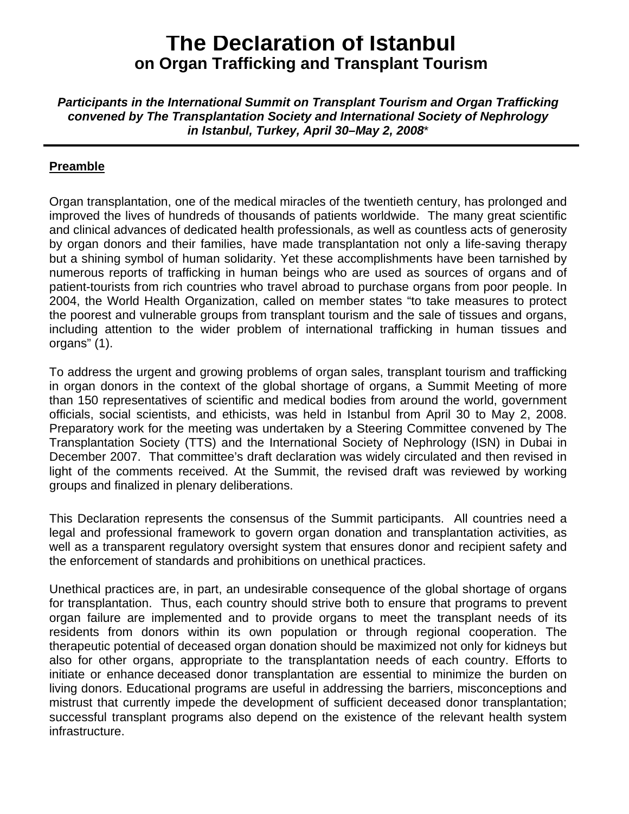# **The Declaration of Istanbul on Organ Trafficking and Transplant Tourism**

*Participants in the International Summit on Transplant Tourism and Organ Trafficking convened by The Transplantation Society and International Society of Nephrology in Istanbul, Turkey, April 30–May 2, 2008*\*

# **Preamble**

Organ transplantation, one of the medical miracles of the twentieth century, has prolonged and improved the lives of hundreds of thousands of patients worldwide. The many great scientific and clinical advances of dedicated health professionals, as well as countless acts of generosity by organ donors and their families, have made transplantation not only a life-saving therapy but a shining symbol of human solidarity. Yet these accomplishments have been tarnished by numerous reports of trafficking in human beings who are used as sources of organs and of patient-tourists from rich countries who travel abroad to purchase organs from poor people. In 2004, the World Health Organization, called on member states "to take measures to protect the poorest and vulnerable groups from transplant tourism and the sale of tissues and organs, including attention to the wider problem of international trafficking in human tissues and organs" (1).

To address the urgent and growing problems of organ sales, transplant tourism and trafficking in organ donors in the context of the global shortage of organs, a Summit Meeting of more than 150 representatives of scientific and medical bodies from around the world, government officials, social scientists, and ethicists, was held in Istanbul from April 30 to May 2, 2008. Preparatory work for the meeting was undertaken by a Steering Committee convened by The Transplantation Society (TTS) and the International Society of Nephrology (ISN) in Dubai in December 2007. That committee's draft declaration was widely circulated and then revised in light of the comments received. At the Summit, the revised draft was reviewed by working groups and finalized in plenary deliberations.

This Declaration represents the consensus of the Summit participants. All countries need a legal and professional framework to govern organ donation and transplantation activities, as well as a transparent regulatory oversight system that ensures donor and recipient safety and the enforcement of standards and prohibitions on unethical practices.

Unethical practices are, in part, an undesirable consequence of the global shortage of organs for transplantation. Thus, each country should strive both to ensure that programs to prevent organ failure are implemented and to provide organs to meet the transplant needs of its residents from donors within its own population or through regional cooperation. The therapeutic potential of deceased organ donation should be maximized not only for kidneys but also for other organs, appropriate to the transplantation needs of each country. Efforts to initiate or enhance deceased donor transplantation are essential to minimize the burden on living donors. Educational programs are useful in addressing the barriers, misconceptions and mistrust that currently impede the development of sufficient deceased donor transplantation; successful transplant programs also depend on the existence of the relevant health system infrastructure.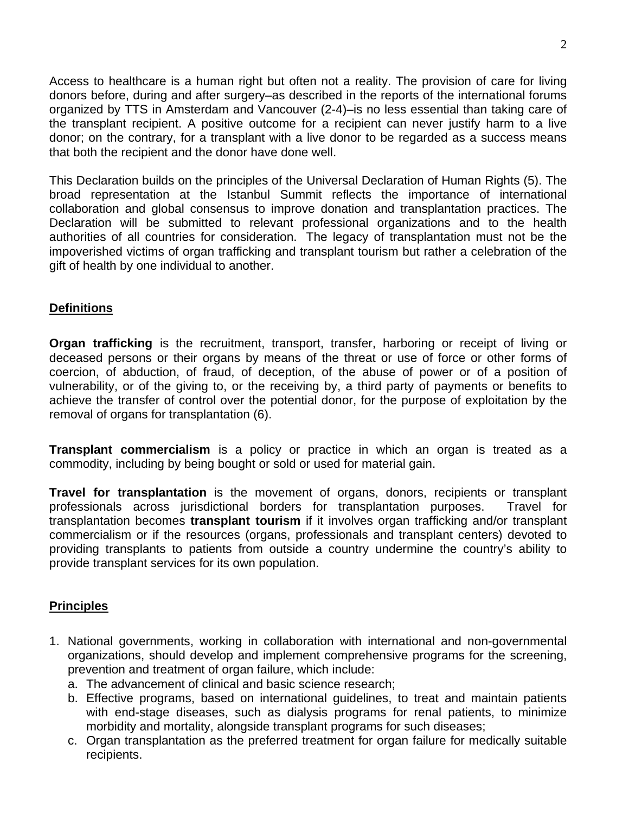Access to healthcare is a human right but often not a reality. The provision of care for living donors before, during and after surgery–as described in the reports of the international forums organized by TTS in Amsterdam and Vancouver (2-4)–is no less essential than taking care of the transplant recipient. A positive outcome for a recipient can never justify harm to a live donor; on the contrary, for a transplant with a live donor to be regarded as a success means that both the recipient and the donor have done well.

This Declaration builds on the principles of the Universal Declaration of Human Rights (5). The broad representation at the Istanbul Summit reflects the importance of international collaboration and global consensus to improve donation and transplantation practices. The Declaration will be submitted to relevant professional organizations and to the health authorities of all countries for consideration. The legacy of transplantation must not be the impoverished victims of organ trafficking and transplant tourism but rather a celebration of the gift of health by one individual to another.

## **Definitions**

**Organ trafficking** is the recruitment, transport, transfer, harboring or receipt of living or deceased persons or their organs by means of the threat or use of force or other forms of coercion, of abduction, of fraud, of deception, of the abuse of power or of a position of vulnerability, or of the giving to, or the receiving by, a third party of payments or benefits to achieve the transfer of control over the potential donor, for the purpose of exploitation by the removal of organs for transplantation (6).

**Transplant commercialism** is a policy or practice in which an organ is treated as a commodity, including by being bought or sold or used for material gain.

**Travel for transplantation** is the movement of organs, donors, recipients or transplant professionals across jurisdictional borders for transplantation purposes. Travel for transplantation becomes **transplant tourism** if it involves organ trafficking and/or transplant commercialism or if the resources (organs, professionals and transplant centers) devoted to providing transplants to patients from outside a country undermine the country's ability to provide transplant services for its own population.

#### **Principles**

- 1. National governments, working in collaboration with international and non-governmental organizations, should develop and implement comprehensive programs for the screening, prevention and treatment of organ failure, which include:
	- a. The advancement of clinical and basic science research;
	- b. Effective programs, based on international guidelines, to treat and maintain patients with end-stage diseases, such as dialysis programs for renal patients, to minimize morbidity and mortality, alongside transplant programs for such diseases;
	- c. Organ transplantation as the preferred treatment for organ failure for medically suitable recipients.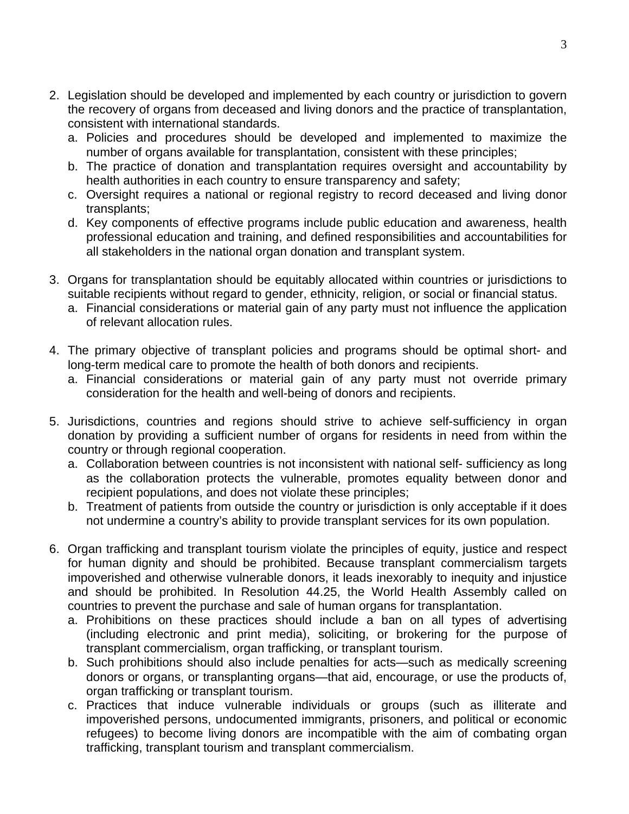- 2. Legislation should be developed and implemented by each country or jurisdiction to govern the recovery of organs from deceased and living donors and the practice of transplantation, consistent with international standards.
	- a. Policies and procedures should be developed and implemented to maximize the number of organs available for transplantation, consistent with these principles;
	- b. The practice of donation and transplantation requires oversight and accountability by health authorities in each country to ensure transparency and safety;
	- c. Oversight requires a national or regional registry to record deceased and living donor transplants;
	- d. Key components of effective programs include public education and awareness, health professional education and training, and defined responsibilities and accountabilities for all stakeholders in the national organ donation and transplant system.
- 3. Organs for transplantation should be equitably allocated within countries or jurisdictions to suitable recipients without regard to gender, ethnicity, religion, or social or financial status.
	- a. Financial considerations or material gain of any party must not influence the application of relevant allocation rules.
- 4. The primary objective of transplant policies and programs should be optimal short- and long-term medical care to promote the health of both donors and recipients.
	- a. Financial considerations or material gain of any party must not override primary consideration for the health and well-being of donors and recipients.
- 5. Jurisdictions, countries and regions should strive to achieve self-sufficiency in organ donation by providing a sufficient number of organs for residents in need from within the country or through regional cooperation.
	- a. Collaboration between countries is not inconsistent with national self- sufficiency as long as the collaboration protects the vulnerable, promotes equality between donor and recipient populations, and does not violate these principles;
	- b. Treatment of patients from outside the country or jurisdiction is only acceptable if it does not undermine a country's ability to provide transplant services for its own population.
- 6. Organ trafficking and transplant tourism violate the principles of equity, justice and respect for human dignity and should be prohibited. Because transplant commercialism targets impoverished and otherwise vulnerable donors, it leads inexorably to inequity and injustice and should be prohibited. In Resolution 44.25, the World Health Assembly called on countries to prevent the purchase and sale of human organs for transplantation.
	- a. Prohibitions on these practices should include a ban on all types of advertising (including electronic and print media), soliciting, or brokering for the purpose of transplant commercialism, organ trafficking, or transplant tourism.
	- b. Such prohibitions should also include penalties for acts—such as medically screening donors or organs, or transplanting organs—that aid, encourage, or use the products of, organ trafficking or transplant tourism.
	- c. Practices that induce vulnerable individuals or groups (such as illiterate and impoverished persons, undocumented immigrants, prisoners, and political or economic refugees) to become living donors are incompatible with the aim of combating organ trafficking, transplant tourism and transplant commercialism.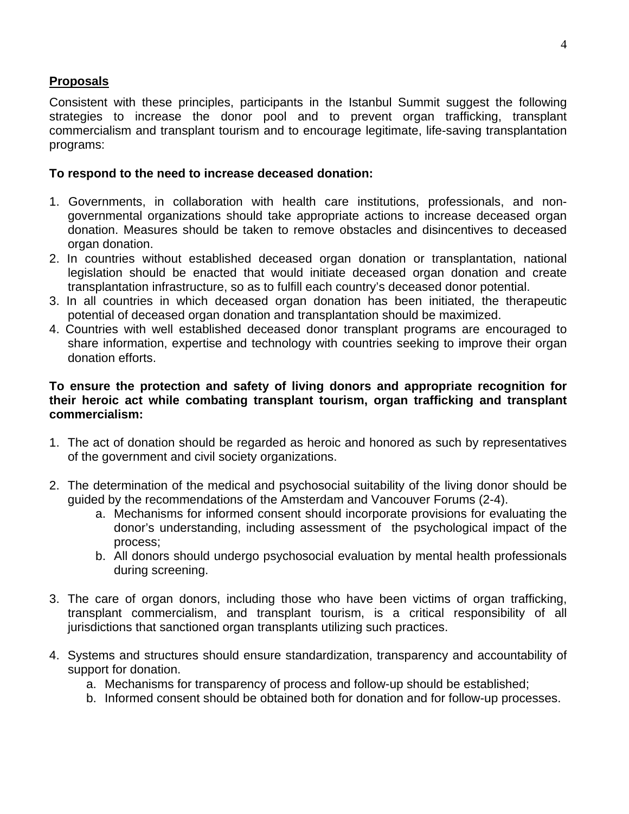# **Proposals**

Consistent with these principles, participants in the Istanbul Summit suggest the following strategies to increase the donor pool and to prevent organ trafficking, transplant commercialism and transplant tourism and to encourage legitimate, life-saving transplantation programs:

### **To respond to the need to increase deceased donation:**

- 1. Governments, in collaboration with health care institutions, professionals, and nongovernmental organizations should take appropriate actions to increase deceased organ donation. Measures should be taken to remove obstacles and disincentives to deceased organ donation.
- 2. In countries without established deceased organ donation or transplantation, national legislation should be enacted that would initiate deceased organ donation and create transplantation infrastructure, so as to fulfill each country's deceased donor potential.
- 3. In all countries in which deceased organ donation has been initiated, the therapeutic potential of deceased organ donation and transplantation should be maximized.
- 4. Countries with well established deceased donor transplant programs are encouraged to share information, expertise and technology with countries seeking to improve their organ donation efforts.

## **To ensure the protection and safety of living donors and appropriate recognition for their heroic act while combating transplant tourism, organ trafficking and transplant commercialism:**

- 1. The act of donation should be regarded as heroic and honored as such by representatives of the government and civil society organizations.
- 2. The determination of the medical and psychosocial suitability of the living donor should be guided by the recommendations of the Amsterdam and Vancouver Forums (2-4).
	- a. Mechanisms for informed consent should incorporate provisions for evaluating the donor's understanding, including assessment of the psychological impact of the process;
	- b. All donors should undergo psychosocial evaluation by mental health professionals during screening.
- 3. The care of organ donors, including those who have been victims of organ trafficking, transplant commercialism, and transplant tourism, is a critical responsibility of all jurisdictions that sanctioned organ transplants utilizing such practices.
- 4. Systems and structures should ensure standardization, transparency and accountability of support for donation.
	- a. Mechanisms for transparency of process and follow-up should be established;
	- b. Informed consent should be obtained both for donation and for follow-up processes.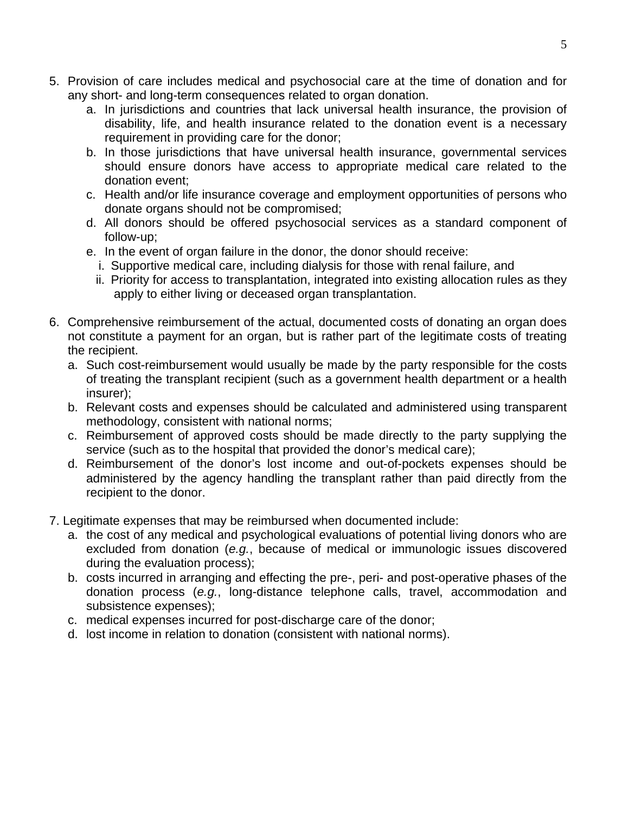- 5. Provision of care includes medical and psychosocial care at the time of donation and for any short- and long-term consequences related to organ donation.
	- a. In jurisdictions and countries that lack universal health insurance, the provision of disability, life, and health insurance related to the donation event is a necessary requirement in providing care for the donor;
	- b. In those jurisdictions that have universal health insurance, governmental services should ensure donors have access to appropriate medical care related to the donation event;
	- c. Health and/or life insurance coverage and employment opportunities of persons who donate organs should not be compromised;
	- d. All donors should be offered psychosocial services as a standard component of follow-up;
	- e. In the event of organ failure in the donor, the donor should receive:
		- i. Supportive medical care, including dialysis for those with renal failure, and
		- ii. Priority for access to transplantation, integrated into existing allocation rules as they apply to either living or deceased organ transplantation.
- 6. Comprehensive reimbursement of the actual, documented costs of donating an organ does not constitute a payment for an organ, but is rather part of the legitimate costs of treating the recipient.
	- a. Such cost-reimbursement would usually be made by the party responsible for the costs of treating the transplant recipient (such as a government health department or a health insurer);
	- b. Relevant costs and expenses should be calculated and administered using transparent methodology, consistent with national norms;
	- c. Reimbursement of approved costs should be made directly to the party supplying the service (such as to the hospital that provided the donor's medical care);
	- d. Reimbursement of the donor's lost income and out-of-pockets expenses should be administered by the agency handling the transplant rather than paid directly from the recipient to the donor.
- 7. Legitimate expenses that may be reimbursed when documented include:
	- a. the cost of any medical and psychological evaluations of potential living donors who are excluded from donation (*e.g.*, because of medical or immunologic issues discovered during the evaluation process);
	- b. costs incurred in arranging and effecting the pre-, peri- and post-operative phases of the donation process (*e.g.*, long-distance telephone calls, travel, accommodation and subsistence expenses);
	- c. medical expenses incurred for post-discharge care of the donor;
	- d. lost income in relation to donation (consistent with national norms).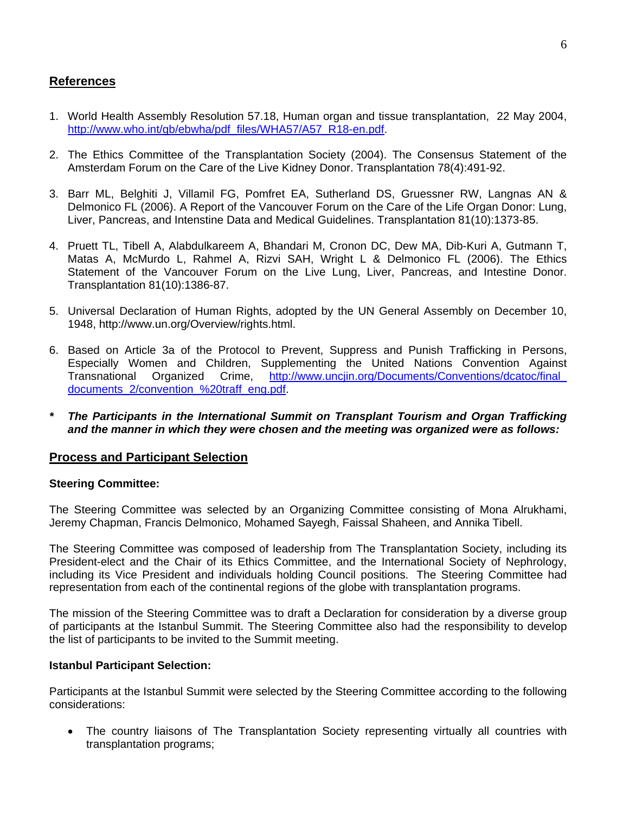#### **References**

- 1. World Health Assembly Resolution 57.18, Human organ and tissue transplantation, 22 May 2004, [http://www.who.int/gb/ebwha/pdf\\_files/WHA57/A57\\_R18-en.pdf](http://www.who.int/gb/ebwha/pdf_files/WHA57/A57_R18-en.pdf).
- 2. The Ethics Committee of the Transplantation Society (2004). The Consensus Statement of the Amsterdam Forum on the Care of the Live Kidney Donor. Transplantation 78(4):491-92.
- 3. Barr ML, Belghiti J, Villamil FG, Pomfret EA, Sutherland DS, Gruessner RW, Langnas AN & Delmonico FL (2006). A Report of the Vancouver Forum on the Care of the Life Organ Donor: Lung, Liver, Pancreas, and Intenstine Data and Medical Guidelines. Transplantation 81(10):1373-85.
- 4. Pruett TL, Tibell A, Alabdulkareem A, Bhandari M, Cronon DC, Dew MA, Dib-Kuri A, Gutmann T, Matas A, McMurdo L, Rahmel A, Rizvi SAH, Wright L & Delmonico FL (2006). The Ethics Statement of the Vancouver Forum on the Live Lung, Liver, Pancreas, and Intestine Donor. Transplantation 81(10):1386-87.
- 5. Universal Declaration of Human Rights, adopted by the UN General Assembly on December 10, 1948, http://www.un.org/Overview/rights.html.
- 6. Based on Article 3a of the Protocol to Prevent, Suppress and Punish Trafficking in Persons, Especially Women and Children, Supplementing the United Nations Convention Against Transnational Organized Crime, [http://www.uncjin.org/Documents/Conventions/dcatoc/final\\_](http://www.uncjin.org/Documents/Conventions/dcatoc/final_%20documents_2/convention_%20traff_eng.pdf)  [documents\\_2/convention\\_%20traff\\_eng.pdf](http://www.uncjin.org/Documents/Conventions/dcatoc/final_%20documents_2/convention_%20traff_eng.pdf).
- *\* The Participants in the International Summit on Transplant Tourism and Organ Trafficking and the manner in which they were chosen and the meeting was organized were as follows:*

#### **Process and Participant Selection**

#### **Steering Committee:**

The Steering Committee was selected by an Organizing Committee consisting of Mona Alrukhami, Jeremy Chapman, Francis Delmonico, Mohamed Sayegh, Faissal Shaheen, and Annika Tibell.

The Steering Committee was composed of leadership from The Transplantation Society, including its President-elect and the Chair of its Ethics Committee, and the International Society of Nephrology, including its Vice President and individuals holding Council positions. The Steering Committee had representation from each of the continental regions of the globe with transplantation programs.

The mission of the Steering Committee was to draft a Declaration for consideration by a diverse group of participants at the Istanbul Summit. The Steering Committee also had the responsibility to develop the list of participants to be invited to the Summit meeting.

#### **Istanbul Participant Selection:**

Participants at the Istanbul Summit were selected by the Steering Committee according to the following considerations:

• The country liaisons of The Transplantation Society representing virtually all countries with transplantation programs;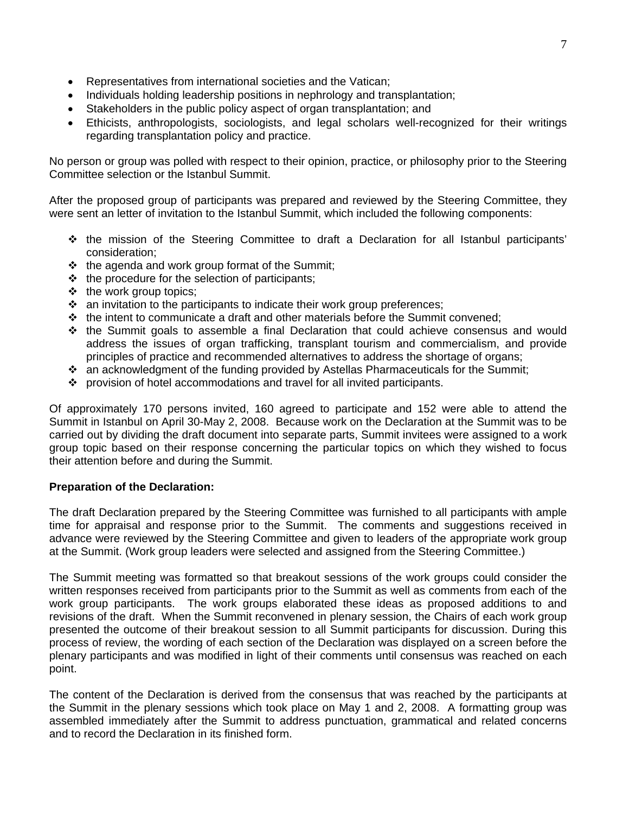- Representatives from international societies and the Vatican;
- Individuals holding leadership positions in nephrology and transplantation;
- Stakeholders in the public policy aspect of organ transplantation; and
- Ethicists, anthropologists, sociologists, and legal scholars well-recognized for their writings regarding transplantation policy and practice.

No person or group was polled with respect to their opinion, practice, or philosophy prior to the Steering Committee selection or the Istanbul Summit.

After the proposed group of participants was prepared and reviewed by the Steering Committee, they were sent an letter of invitation to the Istanbul Summit, which included the following components:

- the mission of the Steering Committee to draft a Declaration for all Istanbul participants' consideration;
- $\triangleq$  the agenda and work group format of the Summit;
- $\div$  the procedure for the selection of participants;
- $\triangleleft$  the work group topics;
- \* an invitation to the participants to indicate their work group preferences;
- $\div$  the intent to communicate a draft and other materials before the Summit convened;
- the Summit goals to assemble a final Declaration that could achieve consensus and would address the issues of organ trafficking, transplant tourism and commercialism, and provide principles of practice and recommended alternatives to address the shortage of organs;
- an acknowledgment of the funding provided by Astellas Pharmaceuticals for the Summit;
- provision of hotel accommodations and travel for all invited participants.

Of approximately 170 persons invited, 160 agreed to participate and 152 were able to attend the Summit in Istanbul on April 30-May 2, 2008. Because work on the Declaration at the Summit was to be carried out by dividing the draft document into separate parts, Summit invitees were assigned to a work group topic based on their response concerning the particular topics on which they wished to focus their attention before and during the Summit.

#### **Preparation of the Declaration:**

The draft Declaration prepared by the Steering Committee was furnished to all participants with ample time for appraisal and response prior to the Summit. The comments and suggestions received in advance were reviewed by the Steering Committee and given to leaders of the appropriate work group at the Summit. (Work group leaders were selected and assigned from the Steering Committee.)

The Summit meeting was formatted so that breakout sessions of the work groups could consider the written responses received from participants prior to the Summit as well as comments from each of the work group participants. The work groups elaborated these ideas as proposed additions to and revisions of the draft. When the Summit reconvened in plenary session, the Chairs of each work group presented the outcome of their breakout session to all Summit participants for discussion. During this process of review, the wording of each section of the Declaration was displayed on a screen before the plenary participants and was modified in light of their comments until consensus was reached on each point.

The content of the Declaration is derived from the consensus that was reached by the participants at the Summit in the plenary sessions which took place on May 1 and 2, 2008. A formatting group was assembled immediately after the Summit to address punctuation, grammatical and related concerns and to record the Declaration in its finished form.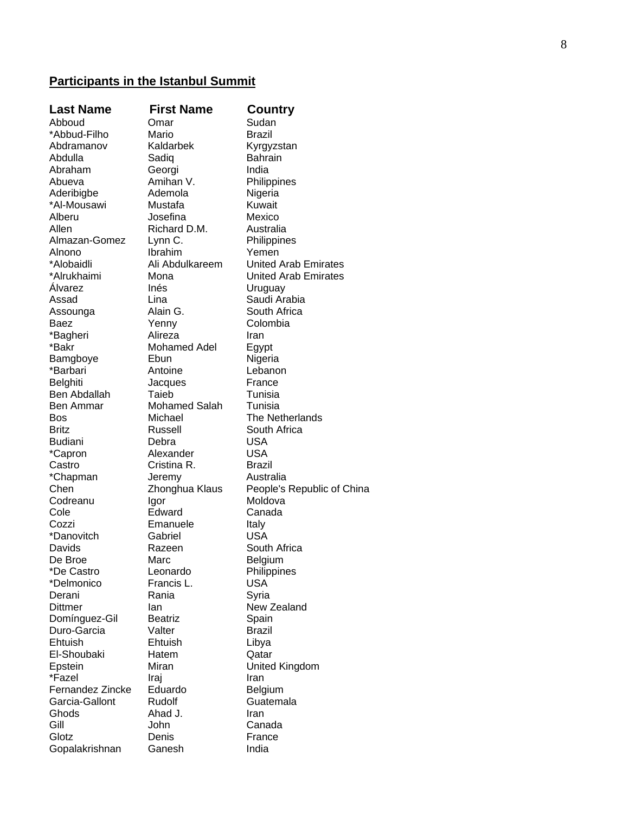# **Participants in the Istanbul Summit**

| Last Name        | <b>First Name</b>    | Country                     |
|------------------|----------------------|-----------------------------|
| Abboud           | Omar                 | Sudan                       |
| *Abbud-Filho     | Mario                | Brazil                      |
| Abdramanov       | Kaldarbek            | Kyrgyzstan                  |
| Abdulla          | Sadiq                | <b>Bahrain</b>              |
| Abraham          | Georgi               | India                       |
| Abueva           | Amihan V.            | Philippines                 |
| Aderibigbe       | Ademola              | Nigeria                     |
| *Al-Mousawi      | Mustafa              | Kuwait                      |
| Alberu           | Josefina             | Mexico                      |
| Allen            | Richard D.M.         | Australia                   |
| Almazan-Gomez    | Lynn C.              | Philippines                 |
| Alnono           | Ibrahim              | Yemen                       |
| *Alobaidli       | Ali Abdulkareem      | <b>United Arab Emirates</b> |
| *Alrukhaimi      | Mona                 | <b>United Arab Emirates</b> |
| Álvarez          | Inés                 | Uruguay                     |
| Assad            | Lina                 | Saudi Arabia                |
| Assounga         | Alain G.             | South Africa                |
| Baez             | Yenny                | Colombia                    |
| *Bagheri         | Alireza              | Iran                        |
| *Bakr            | Mohamed Adel         | Egypt                       |
| Bamgboye         | Ebun                 | Nigeria                     |
| *Barbari         | Antoine              | Lebanon                     |
| Belghiti         | Jacques              | France                      |
| Ben Abdallah     | Taieb                | Tunisia                     |
| Ben Ammar        | <b>Mohamed Salah</b> | Tunisia                     |
| Bos              | Michael              | <b>The Netherlands</b>      |
| Britz            | Russell              | South Africa                |
| Budiani          | Debra                | <b>USA</b>                  |
| *Capron          | Alexander            | <b>USA</b>                  |
| Castro           | Cristina R.          | Brazil                      |
| *Chapman         | Jeremy               | Australia                   |
| Chen             | Zhonghua Klaus       | People's Republic of China  |
| Codreanu         | Igor                 | Moldova                     |
| Cole             | Edward               | Canada                      |
| Cozzi            | Emanuele             | Italy                       |
| *Danovitch       | Gabriel              | <b>USA</b>                  |
| Davids           | Razeen               | South Africa                |
| De Broe          | Marc                 | Belgium                     |
| *De Castro       | Leonardo             | Philippines                 |
| *Delmonico       | Francis L.           | <b>USA</b>                  |
| Derani           | Rania                | Syria                       |
| <b>Dittmer</b>   | lan                  | New Zealand                 |
| Domínguez-Gil    | <b>Beatriz</b>       | Spain                       |
| Duro-Garcia      | Valter               | <b>Brazil</b>               |
| Ehtuish          | Ehtuish              | Libya                       |
| El-Shoubaki      | Hatem                | Qatar                       |
| Epstein          | Miran                | United Kingdom              |
| *Fazel           | Iraj                 | Iran                        |
| Fernandez Zincke | Eduardo              | Belgium                     |
| Garcia-Gallont   | Rudolf               | Guatemala                   |
| Ghods            | Ahad J.              | Iran                        |
| Gill             | John                 | Canada                      |
| Glotz            | Denis                | France                      |
| Gopalakrishnan   | Ganesh               | India                       |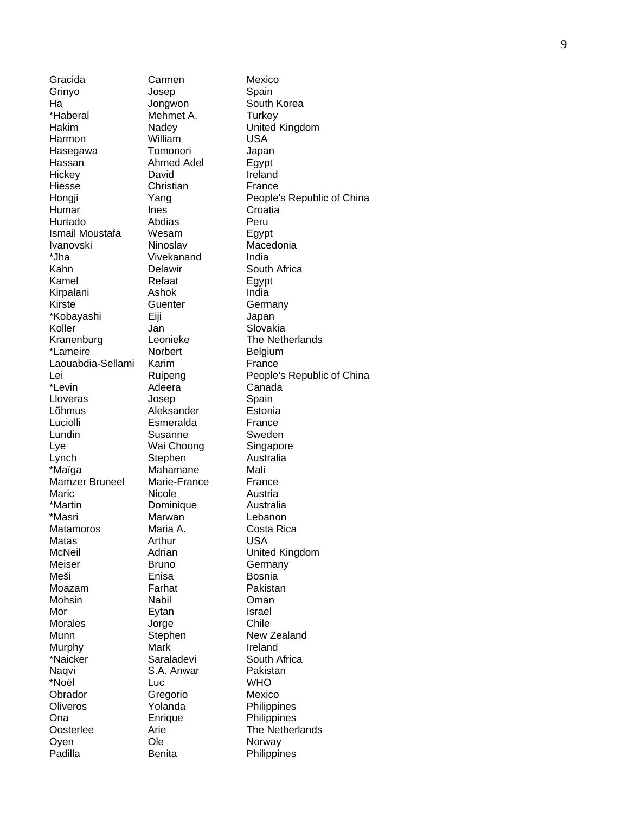Grinyo Josep Spain Ha Jongwon South Korea \*Haberal Mehmet A. Turkey Harmon William USA Hasegawa Tomonori Japan Hassan Ahmed Adel Egypt Hickey David Ireland Hiesse Christian France Humar Ines Croatia<br>Hurtado Abdias Peru Hurtado Abdias Ismail Moustafa Wesam Egypt Ivanovski Ninoslav Macedonia<br>\*.lha Vivekanand India Kahn Delawir South Africa Kamel Refaat Egypt Kirpalani **Ashok** India Kirste **Guenter** Germany \*Kobayashi Eiji Japan Koller **Jan** Jan Slovakia Laouabdia-Sellami Karim **France** \*Levin Adeera Canada Lloveras Josep Spain Lõhmus Aleksander Estonia Luciolli **Esmeralda** France Lundin Susanne Sweden Lye Wai Choong Singapore Lynch Stephen Australia \*Maïga Mahamane Mali Mamzer Bruneel Marie-France France Maric **Nicole Nicole** Austria \*Martin Dominique Australia \*Masri Marwan Lebanon Matamoros Maria A. Costa Rica Matas **Matas** Arthur **CONSTANDING Arthur** USA McNeil Adrian United Kingdom Meiser Bruno Germany Meši **Enisa** Bosnia Moazam **Farhat** Pakistan Mohsin Nabil **Nabil** Oman Mor **Eytan** Israel Morales Jorge Chile Munn Stephen New Zealand Murphy Mark Ireland \*Naicker Saraladevi South Africa Naqvi S.A. Anwar Pakistan \*Noël Luc WHO Obrador Gregorio Mexico Ona **Enrique** Philippines Oyen Ole Ole Norway<br>Padilla Benita Philippin

Gracida Carmen Mexico Vivekanand India Norbert Belgium Yolanda Philippines<br>
Enrique Philippines Benita Philippines

Hakim Nadey United Kingdom Hongji Yang People's Republic of China Kranenburg Leonieke The Netherlands<br>\*Lameire Norbert Belgium Lei Ruipeng People's Republic of China Oosterlee **Arie** Arie The Netherlands